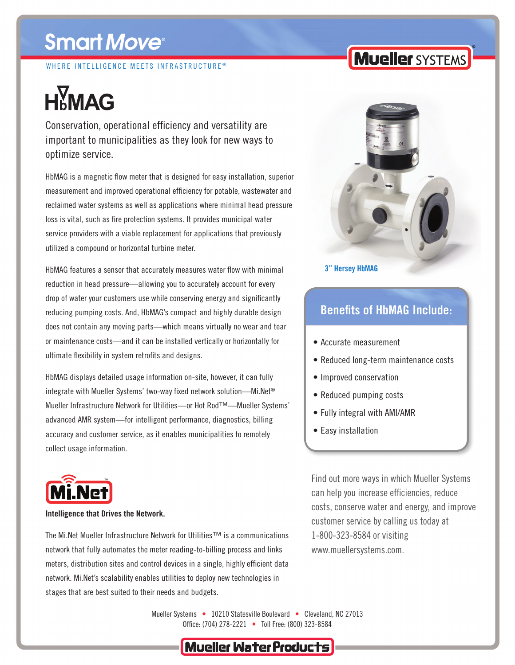# **Smart Move®**

WHERE INTELLIGENCE MEETS INFRASTRUCTURE<sup>®</sup>

# **H<sub>b</sub>MAG**

Conservation, operational efficiency and versatility are important to municipalities as they look for new ways to optimize service.

HbMAG is a magnetic flow meter that is designed for easy installation, superior measurement and improved operational efficiency for potable, wastewater and reclaimed water systems as well as applications where minimal head pressure loss is vital, such as fire protection systems. It provides municipal water service providers with a viable replacement for applications that previously utilized a compound or horizontal turbine meter.

HbMAG features a sensor that accurately measures water flow with minimal reduction in head pressure—allowing you to accurately account for every drop of water your customers use while conserving energy and significantly reducing pumping costs. And, HbMAG's compact and highly durable design does not contain any moving parts—which means virtually no wear and tear or maintenance costs—and it can be installed vertically or horizontally for ultimate flexibility in system retrofits and designs.

HbMAG displays detailed usage information on-site, however, it can fully integrate with Mueller Systems' two-way fixed network solution—Mi.Net® Mueller Infrastructure Network for Utilities—or Hot Rod™—Mueller Systems' advanced AMR system—for intelligent performance, diagnostics, billing accuracy and customer service, as it enables municipalities to remotely collect usage information.



#### **Intelligence that Drives the Network.**

The Mi.Net Mueller Infrastructure Network for Utilities™ is a communications network that fully automates the meter reading-to-billing process and links meters, distribution sites and control devices in a single, highly efficient data network. Mi.Net's scalability enables utilities to deploy new technologies in stages that are best suited to their needs and budgets.

## **Mueller SYSTEMS**



#### **3" Hersey HbMAG**

### **Benefits of HbMAG Include:**

- • Accurate measurement
- • Reduced long-term maintenance costs
- Improved conservation
- Reduced pumping costs
- Fully integral with AMI/AMR
- Easy installation

Find out more ways in which Mueller Systems can help you increase efficiencies, reduce costs, conserve water and energy, and improve customer service by calling us today at 1-800-323-8584 or visiting www.muellersystems.com.

Mueller Systems • 10210 Statesville Boulevard • Cleveland, NC 27013 Office: (704) 278-2221 • Toll Free: (800) 323-8584

## **Mueller Water Products**